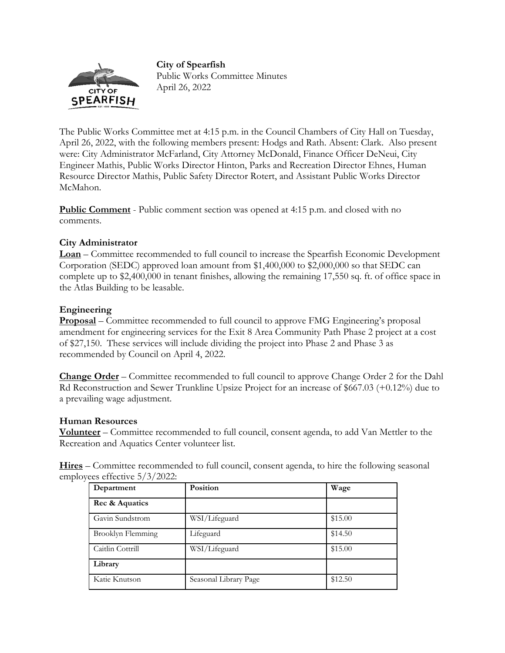**City of Spearfish** 



Public Works Committee Minutes April 26, 2022

The Public Works Committee met at 4:15 p.m. in the Council Chambers of City Hall on Tuesday, April 26, 2022, with the following members present: Hodgs and Rath. Absent: Clark. Also present were: City Administrator McFarland, City Attorney McDonald, Finance Officer DeNeui, City Engineer Mathis, Public Works Director Hinton, Parks and Recreation Director Ehnes, Human Resource Director Mathis, Public Safety Director Rotert, and Assistant Public Works Director McMahon.

**Public Comment** - Public comment section was opened at 4:15 p.m. and closed with no comments.

## **City Administrator**

**Loan** – Committee recommended to full council to increase the Spearfish Economic Development Corporation (SEDC) approved loan amount from \$1,400,000 to \$2,000,000 so that SEDC can complete up to \$2,400,000 in tenant finishes, allowing the remaining 17,550 sq. ft. of office space in the Atlas Building to be leasable.

## **Engineering**

**Proposal** – Committee recommended to full council to approve FMG Engineering's proposal amendment for engineering services for the Exit 8 Area Community Path Phase 2 project at a cost of \$27,150. These services will include dividing the project into Phase 2 and Phase 3 as recommended by Council on April 4, 2022.

**Change Order** – Committee recommended to full council to approve Change Order 2 for the Dahl Rd Reconstruction and Sewer Trunkline Upsize Project for an increase of \$667.03 (+0.12%) due to a prevailing wage adjustment.

## **Human Resources**

**Volunteer** – Committee recommended to full council, consent agenda, to add Van Mettler to the Recreation and Aquatics Center volunteer list.

**Hires** – Committee recommended to full council, consent agenda, to hire the following seasonal employees effective 5/3/2022:

| Department        | Position              | Wage    |
|-------------------|-----------------------|---------|
| Rec & Aquatics    |                       |         |
| Gavin Sundstrom   | WSI/Lifeguard         | \$15.00 |
| Brooklyn Flemming | Lifeguard             | \$14.50 |
| Caitlin Cottrill  | WSI/Lifeguard         | \$15.00 |
| Library           |                       |         |
| Katie Knutson     | Seasonal Library Page | \$12.50 |